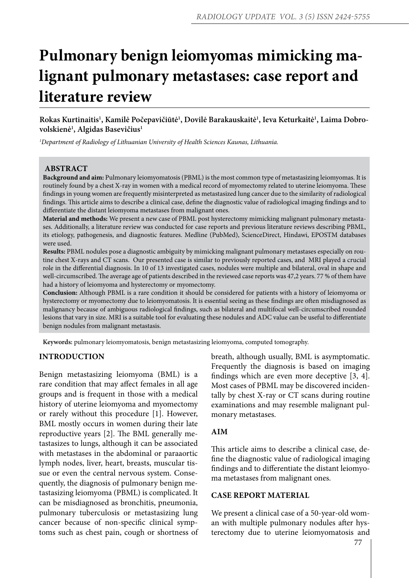# **Pulmonary benign leiomyomas mimicking malignant pulmonary metastases: case report and literature review**

**Rokas Kurtinaitis1 , Kamilė Počepavičiūtė1 , Dovilė Barakauskaitė1 , Ieva Keturkaitė1 , Laima Dobrovolskienė1 , Algidas Basevičius1**

*1 Department of Radiology of Lithuanian University of Health Sciences Kaunas, Lithuania.*

# **ABSTRACT**

**Background and aim:** Pulmonary leiomyomatosis (PBML) is the most common type of metastasizing leiomyomas. It is routinely found by a chest X-ray in women with a medical record of myomectomy related to uterine leiomyoma. These findings in young women are frequently misinterpreted as metastasized lung cancer due to the similarity of radiological findings. This article aims to describe a clinical case, define the diagnostic value of radiological imaging findings and to differentiate the distant leiomyoma metastases from malignant ones.

**Material and methods:** We present a new case of PBML post hysterectomy mimicking malignant pulmonary metastases. Additionally, a literature review was conducted for case reports and previous literature reviews describing PBML, its etiology, pathogenesis, and diagnostic features. Medline (PubMed), ScienceDirect, Hindawi, EPOSTM databases were used.

**Results:** PBML nodules pose a diagnostic ambiguity by mimicking malignant pulmonary metastases especially on routine chest X-rays and CT scans. Our presented case is similar to previously reported cases, and MRI played a crucial role in the differential diagnosis. In 10 of 13 investigated cases, nodules were multiple and bilateral, oval in shape and well-circumscribed. The average age of patients described in the reviewed case reports was 47,2 years. 77 % of them have had a history of leiomyoma and hysterectomy or myomectomy.

**Conclusion:** Although PBML is a rare condition it should be considered for patients with a history of leiomyoma or hysterectomy or myomectomy due to leiomyomatosis. It is essential seeing as these findings are often misdiagnosed as malignancy because of ambiguous radiological findings, such as bilateral and multifocal well-circumscribed rounded lesions that vary in size. MRI is a suitable tool for evaluating these nodules and ADC value can be useful to differentiate benign nodules from malignant metastasis.

**Keywords:** pulmonary leiomyomatosis, benign metastasizing leiomyoma, computed tomography.

## **INTRODUCTION**

Benign metastasizing leiomyoma (BML) is a rare condition that may affect females in all age groups and is frequent in those with a medical history of uterine leiomyoma and myomectomy or rarely without this procedure [1]. However, BML mostly occurs in women during their late reproductive years [2]. The BML generally metastasizes to lungs, although it can be associated with metastases in the abdominal or paraaortic lymph nodes, liver, heart, breasts, muscular tissue or even the central nervous system. Consequently, the diagnosis of pulmonary benign metastasizing leiomyoma (PBML) is complicated. It can be misdiagnosed as bronchitis, pneumonia, pulmonary tuberculosis or metastasizing lung cancer because of non-specific clinical symptoms such as chest pain, cough or shortness of breath, although usually, BML is asymptomatic. Frequently the diagnosis is based on imaging findings which are even more deceptive [3, 4]. Most cases of PBML may be discovered incidentally by chest X-ray or CT scans during routine examinations and may resemble malignant pulmonary metastases.

## **AIM**

This article aims to describe a clinical case, define the diagnostic value of radiological imaging findings and to differentiate the distant leiomyoma metastases from malignant ones.

#### **CASE REPORT MATERIAL**

We present a clinical case of a 50-year-old woman with multiple pulmonary nodules after hysterectomy due to uterine leiomyomatosis and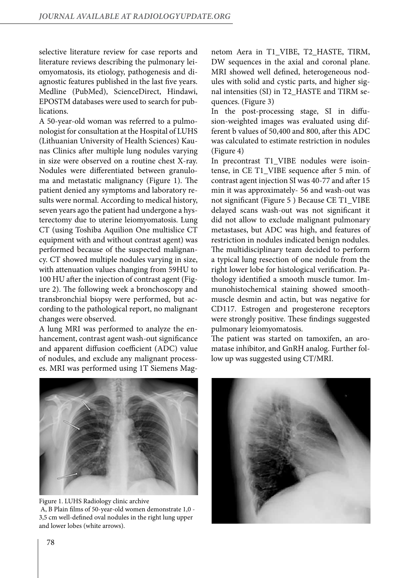selective literature review for case reports and literature reviews describing the pulmonary leiomyomatosis, its etiology, pathogenesis and diagnostic features published in the last five years. Medline (PubMed), ScienceDirect, Hindawi, EPOSTM databases were used to search for publications.

A 50-year-old woman was referred to a pulmonologist for consultation at the Hospital of LUHS (Lithuanian University of Health Sciences) Kaunas Clinics after multiple lung nodules varying in size were observed on a routine chest X-ray. Nodules were differentiated between granuloma and metastatic malignancy (Figure 1). The patient denied any symptoms and laboratory results were normal. According to medical history, seven years ago the patient had undergone a hysterectomy due to uterine leiomyomatosis. Lung CT (using Toshiba Aquilion One multislice CT equipment with and without contrast agent) was performed because of the suspected malignancy. CT showed multiple nodules varying in size, with attenuation values changing from 59HU to 100 HU after the injection of contrast agent (Figure 2). The following week a bronchoscopy and transbronchial biopsy were performed, but according to the pathological report, no malignant changes were observed.

A lung MRI was performed to analyze the enhancement, contrast agent wash-out significance and apparent diffusion coefficient (ADC) value of nodules, and exclude any malignant processes. MRI was performed using 1T Siemens Magnetom Aera in T1\_VIBE, T2\_HASTE, TIRM, DW sequences in the axial and coronal plane. MRI showed well defined, heterogeneous nodules with solid and cystic parts, and higher signal intensities (SI) in T2\_HASTE and TIRM sequences. (Figure 3)

In the post-processing stage, SI in diffusion-weighted images was evaluated using different b values of 50,400 and 800, after this ADC was calculated to estimate restriction in nodules (Figure 4)

In precontrast T1\_VIBE nodules were isointense, in CE T1\_VIBE sequence after 5 min. of contrast agent injection SI was 40-77 and after 15 min it was approximately- 56 and wash-out was not significant (Figure 5 ) Because CE T1\_VIBE delayed scans wash-out was not significant it did not allow to exclude malignant pulmonary metastases, but ADC was high, and features of restriction in nodules indicated benign nodules. The multidisciplinary team decided to perform a typical lung resection of one nodule from the right lower lobe for histological verification. Pathology identified a smooth muscle tumor. Immunohistochemical staining showed smoothmuscle desmin and actin, but was negative for CD117. Estrogen and progesterone receptors were strongly positive. These findings suggested pulmonary leiomyomatosis.

The patient was started on tamoxifen, an aromatase inhibitor, and GnRH analog. Further follow up was suggested using CT/MRI.



Figure 1. LUHS Radiology clinic archive A, B Plain films of 50-year-old women demonstrate 1,0 - 3,5 cm well-defined oval nodules in the right lung upper and lower lobes (white arrows).

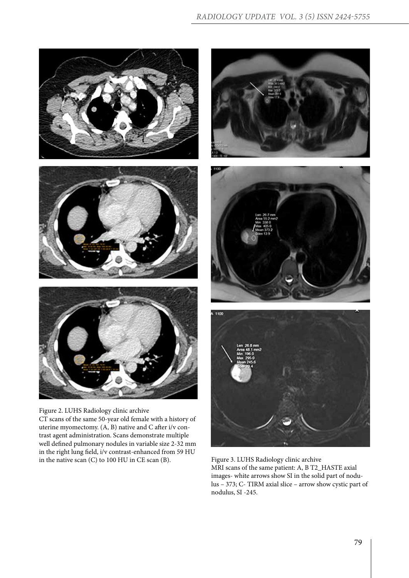

Figure 2. LUHS Radiology clinic archive CT scans of the same 50-year old female with a history of uterine myomectomy. (A, B) native and C after i/v contrast agent administration. Scans demonstrate multiple well defined pulmonary nodules in variable size 2-32 mm in the right lung field, i/v contrast-enhanced from 59 HU







in the native scan (C) to 100 HU in CE scan (B). Figure 3. LUHS Radiology clinic archive MRI scans of the same patient: A, B T2\_HASTE axial images- white arrows show SI in the solid part of nodulus – 373; C- TIRM axial slice – arrow show cystic part of nodulus, SI -245.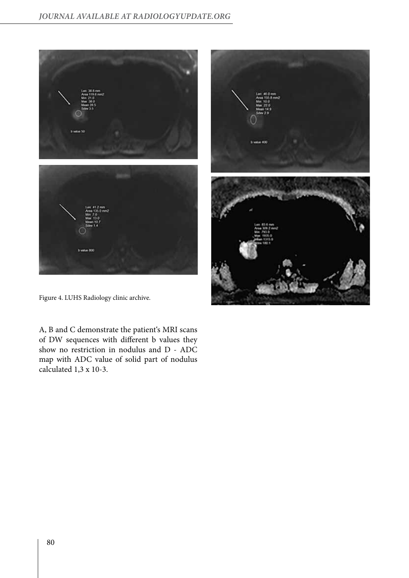



Figure 4. LUHS Radiology clinic archive.

A, B and C demonstrate the patient's MRI scans of DW sequences with different b values they show no restriction in nodulus and D - ADC map with ADC value of solid part of nodulus calculated 1,3 x 10-3.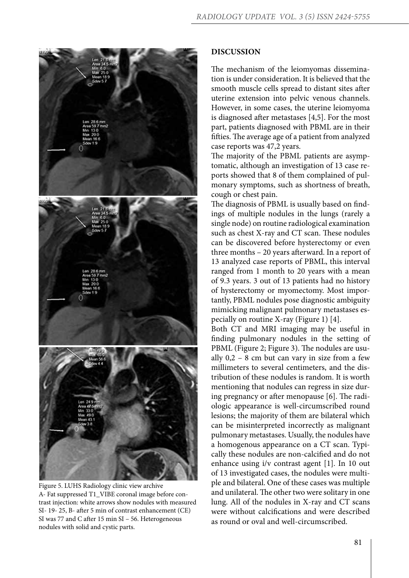

Figure 5. LUHS Radiology clinic view archive A- Fat suppressed T1\_VIBE coronal image before contrast injection: white arrows show nodules with measured SI- 19- 25, B- after 5 min of contrast enhancement (CE) SI was 77 and C after 15 min SI – 56. Heterogeneous nodules with solid and cystic parts.

# **DISCUSSION**

The mechanism of the leiomyomas dissemination is under consideration. It is believed that the smooth muscle cells spread to distant sites after uterine extension into pelvic venous channels. However, in some cases, the uterine leiomyoma is diagnosed after metastases [4,5]. For the most part, patients diagnosed with PBML are in their fifties. The average age of a patient from analyzed case reports was 47,2 years.

The majority of the PBML patients are asymptomatic, although an investigation of 13 case reports showed that 8 of them complained of pulmonary symptoms, such as shortness of breath, cough or chest pain.

The diagnosis of PBML is usually based on findings of multiple nodules in the lungs (rarely a single node) on routine radiological examination such as chest X-ray and CT scan. These nodules can be discovered before hysterectomy or even three months – 20 years afterward. In a report of 13 analyzed case reports of PBML, this interval ranged from 1 month to 20 years with a mean of 9.3 years. 3 out of 13 patients had no history of hysterectomy or myomectomy. Most importantly, PBML nodules pose diagnostic ambiguity mimicking malignant pulmonary metastases especially on routine X-ray (Figure 1) [4].

Both CT and MRI imaging may be useful in finding pulmonary nodules in the setting of PBML (Figure 2; Figure 3). The nodules are usually  $0,2 - 8$  cm but can vary in size from a few millimeters to several centimeters, and the distribution of these nodules is random. It is worth mentioning that nodules can regress in size during pregnancy or after menopause [6]. The radiologic appearance is well-circumscribed round lesions; the majority of them are bilateral which can be misinterpreted incorrectly as malignant pulmonary metastases. Usually, the nodules have a homogenous appearance on a CT scan. Typically these nodules are non-calcified and do not enhance using i/v contrast agent [1]. In 10 out of 13 investigated cases, the nodules were multiple and bilateral. One of these cases was multiple and unilateral. The other two were solitary in one lung. All of the nodules in X-ray and CT scans were without calcifications and were described as round or oval and well-circumscribed.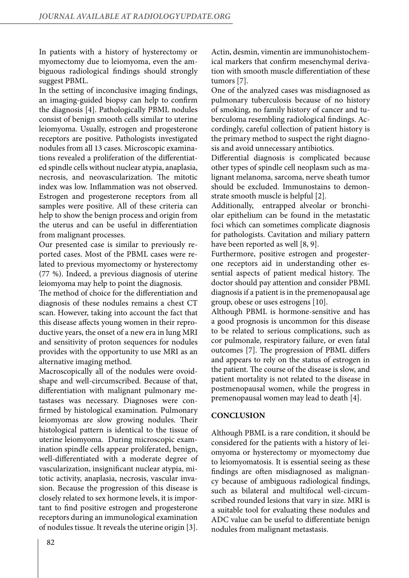In patients with a history of hysterectomy or myomectomy due to leiomyoma, even the ambiguous radiological findings should strongly suggest PBML.

In the setting of inconclusive imaging findings, an imaging-guided biopsy can help to confirm the diagnosis [4]. Pathologically PBML nodules consist of benign smooth cells similar to uterine leiomyoma. Usually, estrogen and progesterone receptors are positive. Pathologists investigated nodules from all 13 cases. Microscopic examinations revealed a proliferation of the differentiated spindle cells without nuclear atypia, anaplasia, necrosis, and neovascularization. The mitotic index was low. Inflammation was not observed. Estrogen and progesterone receptors from all samples were positive. All of these criteria can help to show the benign process and origin from the uterus and can be useful in differentiation from malignant processes.

Our presented case is similar to previously reported cases. Most of the PBML cases were related to previous myomectomy or hysterectomy (77 %). Indeed, a previous diagnosis of uterine leiomyoma may help to point the diagnosis.

The method of choice for the differentiation and diagnosis of these nodules remains a chest CT scan. However, taking into account the fact that this disease affects young women in their reproductive years, the onset of a new era in lung MRI and sensitivity of proton sequences for nodules provides with the opportunity to use MRI as an alternative imaging method.

Macroscopically all of the nodules were ovoidshape and well-circumscribed. Because of that, differentiation with malignant pulmonary metastases was necessary. Diagnoses were confirmed by histological examination. Pulmonary leiomyomas are slow growing nodules. Their histological pattern is identical to the tissue of uterine leiomyoma. During microscopic examination spindle cells appear proliferated, benign, well-differentiated with a moderate degree of vascularization, insignificant nuclear atypia, mitotic activity, anaplasia, necrosis, vascular invasion. Because the progression of this disease is closely related to sex hormone levels, it is important to find positive estrogen and progesterone receptors during an immunological examination of nodules tissue. It reveals the uterine origin [3].

Actin, desmin, vimentin are immunohistochemical markers that confirm mesenchymal derivation with smooth muscle differentiation of these tumors [7].

One of the analyzed cases was misdiagnosed as pulmonary tuberculosis because of no history of smoking, no family history of cancer and tuberculoma resembling radiological findings. Accordingly, careful collection of patient history is the primary method to suspect the right diagnosis and avoid unnecessary antibiotics.

Differential diagnosis is complicated because other types of spindle cell neoplasm such as malignant melanoma, sarcoma, nerve sheath tumor should be excluded. Immunostains to demonstrate smooth muscle is helpful [2].

Additionally, entrapped alveolar or bronchiolar epithelium can be found in the metastatic foci which can sometimes complicate diagnosis for pathologists. Cavitation and miliary pattern have been reported as well [8, 9].

Furthermore, positive estrogen and progesterone receptors aid in understanding other essential aspects of patient medical history. The doctor should pay attention and consider PBML diagnosis if a patient is in the premenopausal age group, obese or uses estrogens [10].

Although PBML is hormone-sensitive and has a good prognosis is uncommon for this disease to be related to serious complications, such as cor pulmonale, respiratory failure, or even fatal outcomes [7]. The progression of PBML differs and appears to rely on the status of estrogen in the patient. The course of the disease is slow, and patient mortality is not related to the disease in postmenopausal women, while the progress in premenopausal women may lead to death [4].

# **CONCLUSION**

Although PBML is a rare condition, it should be considered for the patients with a history of leiomyoma or hysterectomy or myomectomy due to leiomyomatosis. It is essential seeing as these findings are often misdiagnosed as malignancy because of ambiguous radiological findings, such as bilateral and multifocal well-circumscribed rounded lesions that vary in size. MRI is a suitable tool for evaluating these nodules and ADC value can be useful to differentiate benign nodules from malignant metastasis.